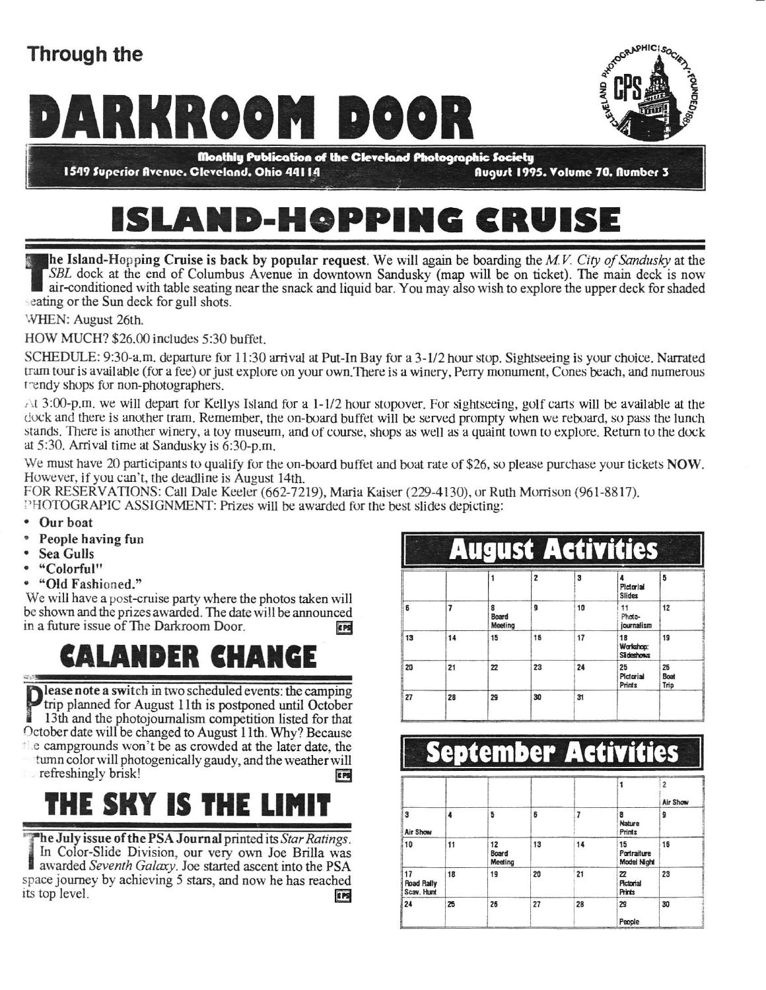#### Through the

# MARCOOM DOOR

1549 Superior Avenue. Cleveland. Ohio 44114

**ROTOGRAPHIC SOCIETY** 

August 1995. Volume 70. Aumber 3

# ISLAND-HOPPING CRUISE

he Island-Hopping Cruise is back by popular request. We will again be boarding the M.V. City of Sandusky at the SBL dock at the end of Columbus Avenue in downtown Sandusky (map will be on ticket). The main deck is now air-conditioned with table seating near the snack and liquid bar. You may also wish to explore the upper deck for shaded seating or the Sun deck for gull shots.

WHEN: August 26th.

HOW MUCH? \$26.00 includes 5:30 buffet.

SCHEDULE: 9:30-a.m. departure for 11:30 arrival at Put-In Bay for a 3-1/2 hour stop. Sightseeing is your choice. Narrated tram tour is available (for a fee) or just explore on your own.There is a winery, Perry monument, Cones beach, and numerous r'endy shops for non-photographers.

 $\triangle t$  3:00-p.m. we will depart for Kellys Island for a 1-1/2 hour stopover. For sightseeing, golf carts will be available at the dock and there is another tram. Remember, the on-board buffet will be served prompty when we reboard, so pass the lunch stands. There is another winery, a toy museum, and of course, shops as well as a quaint town to explore. Return to the dock at  $5:30$ . Arrival time at Sandusky is  $6:30-p.m$ .

We must have 20 participants to qualify for the on-board buffet and boat rate of \$26, so please purchase your tickets NOW. Howevcr. if you can't, the deadline is August 14th.

FOR RESERVATIONS: Call Dale Keeler (662-7219), Maria Kaiser (229-4130), or Ruth Morrison (961-8817).

PHOTOGRAPIC ASSIGNMENT: Prizes will be awarded for the best slides depicting:

- . Our boat
- ' People having fun
- Sea Gulls<br>• "Colorful"
- 
- "Old Fashioned."

We will have a post-cruise party where the photos taken will be shown and the prizes awarded. The date will be announced in a future issue of The Darkroom Door.

#### CALANDER CHANGE

lease note a switch in two scheduled events: the camping trip planned for August 11th is postponed until October 13th and the photojournalism competition listed for that October date will be changed to August 11th. Why ? Because  $\ell$  is campgrounds won't be as crowded at the later date, the tumn colorwill photogemcally gaudy, and the weather will refreshingly brisk!

### THE SKY IS THE L

The July issue of the PSA Journal printed its Star Ratings. In Color-Slide Division, our very own Joe Brilla was awarded Seventh Galaxy. Joe started ascent into the PSA space journey by achieving 5 stars, and now he has reached its top level.

| gust Activities |    |                       |    |    |                                       |                    |  |
|-----------------|----|-----------------------|----|----|---------------------------------------|--------------------|--|
|                 |    |                       | 2  | 3  | 4<br>Pictorial<br><b>Slides</b>       | 5                  |  |
| 6               | 7  | 8<br>Board<br>Meeting | 9  | 10 | 11<br>Photo-<br>journalism            | 12                 |  |
| 13              | 14 | 15                    | 16 | 17 | 18<br>Warkshop:<br><b>STI deshows</b> | 19                 |  |
| 20              | 21 | 22                    | 23 | 24 | 25<br>Pictorial<br><b>Prints</b>      | 26<br>Boat<br>Trip |  |
| 27              | 28 | 29                    | 30 | 31 |                                       |                    |  |

#### **September Activities**

|                                       |    |                        |    |    |                                  | $\overline{\phantom{a}}$<br>Air Show |
|---------------------------------------|----|------------------------|----|----|----------------------------------|--------------------------------------|
| 3<br>Air Show                         | 4  | 5                      | 6  |    | 8<br><b>Nature</b><br>Prints     | 9                                    |
| 10                                    | 11 | 12<br>Board<br>Meeting | 13 | 14 | 15<br>Portraiture<br>Model Night | 16                                   |
| 17<br><b>Road Rally</b><br>Scav. Hunt | 18 | 19                     | 20 | 21 | 22<br>Pictorial<br>Prints        | 23                                   |
| 24                                    | 25 | 26                     | 27 | 28 | 29<br>People                     | 30                                   |